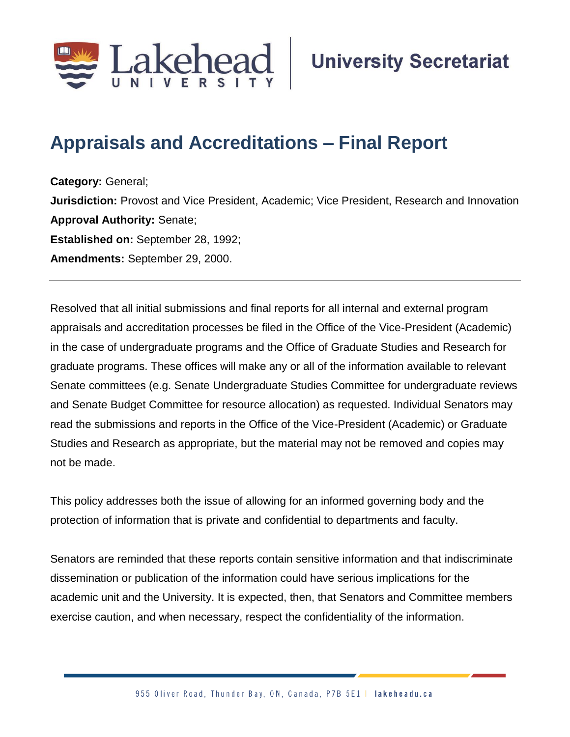

## **Appraisals and Accreditations – Final Report**

**Category:** General; **Jurisdiction:** Provost and Vice President, Academic; Vice President, Research and Innovation **Approval Authority:** Senate; **Established on:** September 28, 1992; **Amendments:** September 29, 2000.

Resolved that all initial submissions and final reports for all internal and external program appraisals and accreditation processes be filed in the Office of the Vice-President (Academic) in the case of undergraduate programs and the Office of Graduate Studies and Research for graduate programs. These offices will make any or all of the information available to relevant Senate committees (e.g. Senate Undergraduate Studies Committee for undergraduate reviews and Senate Budget Committee for resource allocation) as requested. Individual Senators may read the submissions and reports in the Office of the Vice-President (Academic) or Graduate Studies and Research as appropriate, but the material may not be removed and copies may not be made.

This policy addresses both the issue of allowing for an informed governing body and the protection of information that is private and confidential to departments and faculty.

Senators are reminded that these reports contain sensitive information and that indiscriminate dissemination or publication of the information could have serious implications for the academic unit and the University. It is expected, then, that Senators and Committee members exercise caution, and when necessary, respect the confidentiality of the information.